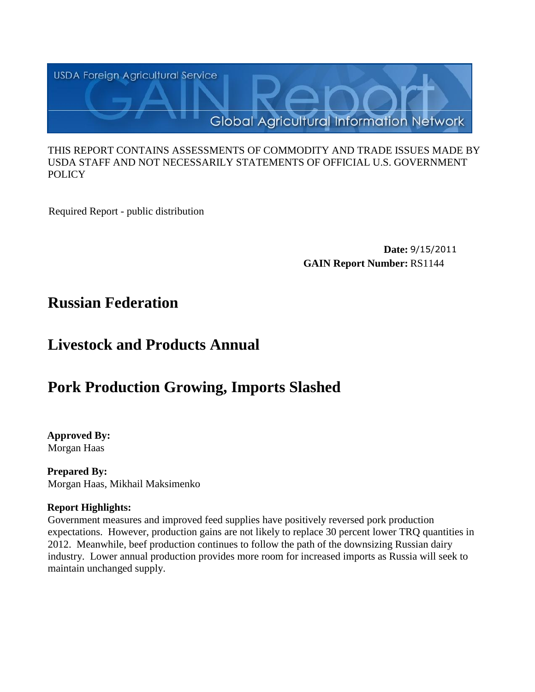

#### THIS REPORT CONTAINS ASSESSMENTS OF COMMODITY AND TRADE ISSUES MADE BY USDA STAFF AND NOT NECESSARILY STATEMENTS OF OFFICIAL U.S. GOVERNMENT **POLICY**

Required Report - public distribution

**Date:** 9/15/2011 **GAIN Report Number:** RS1144

## **Russian Federation**

# **Livestock and Products Annual**

# **Pork Production Growing, Imports Slashed**

**Approved By:**  Morgan Haas

**Prepared By:**  Morgan Haas, Mikhail Maksimenko

#### **Report Highlights:**

Government measures and improved feed supplies have positively reversed pork production expectations. However, production gains are not likely to replace 30 percent lower TRQ quantities in 2012. Meanwhile, beef production continues to follow the path of the downsizing Russian dairy industry. Lower annual production provides more room for increased imports as Russia will seek to maintain unchanged supply.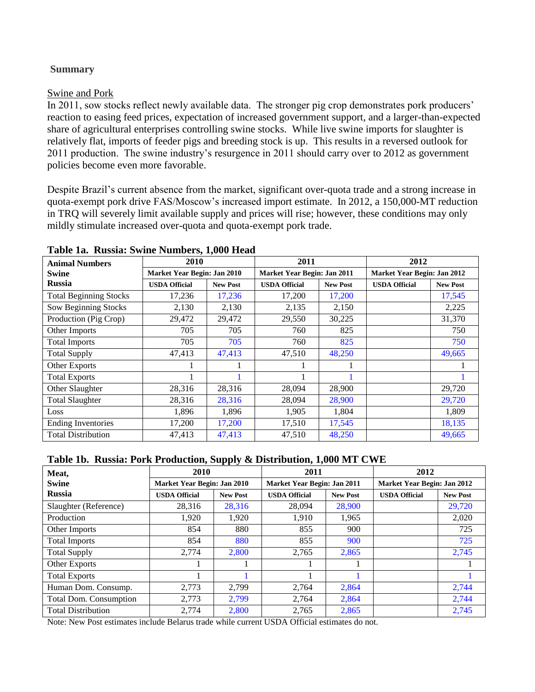#### **Summary**

#### Swine and Pork

In 2011, sow stocks reflect newly available data. The stronger pig crop demonstrates pork producers' reaction to easing feed prices, expectation of increased government support, and a larger-than-expected share of agricultural enterprises controlling swine stocks. While live swine imports for slaughter is relatively flat, imports of feeder pigs and breeding stock is up. This results in a reversed outlook for 2011 production. The swine industry's resurgence in 2011 should carry over to 2012 as government policies become even more favorable.

Despite Brazil's current absence from the market, significant over-quota trade and a strong increase in quota-exempt pork drive FAS/Moscow's increased import estimate. In 2012, a 150,000-MT reduction in TRQ will severely limit available supply and prices will rise; however, these conditions may only mildly stimulate increased over-quota and quota-exempt pork trade.

| <b>Animal Numbers</b>         | 2010                        |                 | 2011                        |                 | 2012                        |                 |  |
|-------------------------------|-----------------------------|-----------------|-----------------------------|-----------------|-----------------------------|-----------------|--|
| <b>Swine</b>                  | Market Year Begin: Jan 2010 |                 | Market Year Begin: Jan 2011 |                 | Market Year Begin: Jan 2012 |                 |  |
| <b>Russia</b>                 | <b>USDA Official</b>        | <b>New Post</b> | <b>USDA Official</b>        | <b>New Post</b> | <b>USDA Official</b>        | <b>New Post</b> |  |
| <b>Total Beginning Stocks</b> | 17,236                      | 17,236          | 17,200                      | 17,200          |                             | 17,545          |  |
| Sow Beginning Stocks          | 2,130                       | 2,130           | 2,135                       | 2,150           |                             | 2,225           |  |
| Production (Pig Crop)         | 29,472                      | 29,472          | 29,550                      | 30,225          |                             | 31,370          |  |
| Other Imports                 | 705                         | 705             | 760                         | 825             |                             | 750             |  |
| <b>Total Imports</b>          | 705                         | 705             | 760                         | 825             |                             | 750             |  |
| <b>Total Supply</b>           | 47,413                      | 47,413          | 47,510                      | 48,250          |                             | 49,665          |  |
| Other Exports                 |                             |                 |                             |                 |                             |                 |  |
| <b>Total Exports</b>          |                             |                 |                             |                 |                             |                 |  |
| Other Slaughter               | 28,316                      | 28,316          | 28,094                      | 28,900          |                             | 29,720          |  |
| <b>Total Slaughter</b>        | 28,316                      | 28,316          | 28,094                      | 28,900          |                             | 29,720          |  |
| Loss                          | 1,896                       | 1,896           | 1,905                       | 1,804           |                             | 1,809           |  |
| <b>Ending Inventories</b>     | 17,200                      | 17,200          | 17,510                      | 17,545          |                             | 18,135          |  |
| <b>Total Distribution</b>     | 47,413                      | 47,413          | 47,510                      | 48,250          |                             | 49,665          |  |

#### **Table 1a. Russia: Swine Numbers, 1,000 Head**

#### **Table 1b. Russia: Pork Production, Supply & Distribution, 1,000 MT CWE**

| Meat,                         | 2010                        |                                         | 2011                        |                 | 2012                        |                 |  |
|-------------------------------|-----------------------------|-----------------------------------------|-----------------------------|-----------------|-----------------------------|-----------------|--|
| <b>Swine</b>                  | Market Year Begin: Jan 2010 |                                         | Market Year Begin: Jan 2011 |                 | Market Year Begin: Jan 2012 |                 |  |
| <b>Russia</b>                 | <b>USDA Official</b>        | <b>USDA Official</b><br><b>New Post</b> |                             | <b>New Post</b> | <b>USDA Official</b>        | <b>New Post</b> |  |
| Slaughter (Reference)         | 28,316                      | 28,316                                  | 28,094                      | 28,900          |                             | 29,720          |  |
| Production                    | 1.920                       | 1.920                                   | 1.910                       | 1,965           |                             | 2,020           |  |
| Other Imports                 | 854                         | 880                                     | 855                         | 900             |                             | 725             |  |
| <b>Total Imports</b>          | 854                         | 880                                     | 855                         | 900             |                             | 725             |  |
| <b>Total Supply</b>           | 2.774                       | 2.800                                   | 2,765                       | 2,865           |                             | 2,745           |  |
| Other Exports                 |                             |                                         |                             |                 |                             |                 |  |
| <b>Total Exports</b>          |                             |                                         |                             |                 |                             |                 |  |
| Human Dom. Consump.           | 2.773                       | 2.799                                   | 2,764                       | 2,864           |                             | 2,744           |  |
| <b>Total Dom. Consumption</b> | 2,773                       | 2,799                                   | 2,764                       | 2,864           |                             | 2,744           |  |
| <b>Total Distribution</b>     | 2.774                       | 2.800                                   | 2,765                       | 2,865           |                             | 2.745           |  |

Note: New Post estimates include Belarus trade while current USDA Official estimates do not.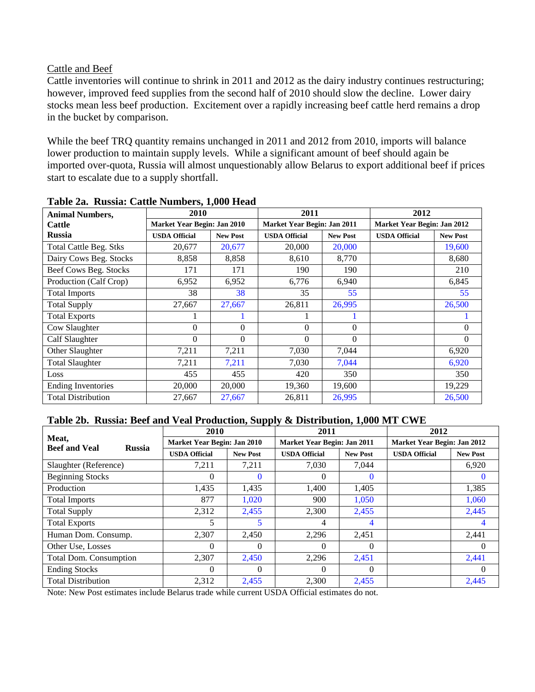#### Cattle and Beef

Cattle inventories will continue to shrink in 2011 and 2012 as the dairy industry continues restructuring; however, improved feed supplies from the second half of 2010 should slow the decline. Lower dairy stocks mean less beef production. Excitement over a rapidly increasing beef cattle herd remains a drop in the bucket by comparison.

While the beef TRQ quantity remains unchanged in 2011 and 2012 from 2010, imports will balance lower production to maintain supply levels. While a significant amount of beef should again be imported over-quota, Russia will almost unquestionably allow Belarus to export additional beef if prices start to escalate due to a supply shortfall.

| <b>Animal Numbers,</b>        | 2010                        | $\rightarrow$ $\rightarrow$ $\rightarrow$ | 2011                        |                 | 2012                        |                  |
|-------------------------------|-----------------------------|-------------------------------------------|-----------------------------|-----------------|-----------------------------|------------------|
| <b>Cattle</b>                 | Market Year Begin: Jan 2010 |                                           | Market Year Begin: Jan 2011 |                 | Market Year Begin: Jan 2012 |                  |
| Russia                        | <b>USDA Official</b>        | <b>New Post</b>                           | <b>USDA Official</b>        | <b>New Post</b> | <b>USDA Official</b>        | <b>New Post</b>  |
| <b>Total Cattle Beg. Stks</b> | 20,677                      | 20,677                                    | 20,000                      | 20,000          |                             | 19,600           |
| Dairy Cows Beg. Stocks        | 8,858                       | 8,858                                     | 8,610                       | 8,770           |                             | 8,680            |
| Beef Cows Beg. Stocks         | 171                         | 171                                       | 190                         | 190             |                             | 210              |
| Production (Calf Crop)        | 6,952                       | 6,952                                     | 6,776                       | 6,940           |                             | 6,845            |
| <b>Total Imports</b>          | 38                          | 38                                        | 35                          | 55              |                             | 55               |
| <b>Total Supply</b>           | 27,667                      | 27,667                                    | 26,811                      | 26,995          |                             | 26,500           |
| <b>Total Exports</b>          |                             |                                           |                             |                 |                             |                  |
| Cow Slaughter                 | $\mathbf{0}$                | $\mathbf{0}$                              | $\Omega$                    | $\Omega$        |                             | $\mathbf{0}$     |
| Calf Slaughter                | $\Omega$                    | $\boldsymbol{0}$                          | $\Omega$                    | $\Omega$        |                             | $\boldsymbol{0}$ |
| Other Slaughter               | 7,211                       | 7,211                                     | 7,030                       | 7,044           |                             | 6,920            |
| <b>Total Slaughter</b>        | 7,211                       | 7,211                                     | 7,030                       | 7,044           |                             | 6,920            |
| Loss                          | 455                         | 455                                       | 420                         | 350             |                             | 350              |
| <b>Ending Inventories</b>     | 20,000                      | 20,000                                    | 19,360                      | 19,600          |                             | 19,229           |
| <b>Total Distribution</b>     | 27,667                      | 27,667                                    | 26,811                      | 26,995          |                             | 26,500           |

#### **Table 2a. Russia: Cattle Numbers, 1,000 Head**

#### **Table 2b. Russia: Beef and Veal Production, Supply & Distribution, 1,000 MT CWE**

|                                                | 2010                        |                 | 2011                        |                 | 2012                        |                 |  |
|------------------------------------------------|-----------------------------|-----------------|-----------------------------|-----------------|-----------------------------|-----------------|--|
| Meat,<br><b>Beef and Veal</b><br><b>Russia</b> | Market Year Begin: Jan 2010 |                 | Market Year Begin: Jan 2011 |                 | Market Year Begin: Jan 2012 |                 |  |
|                                                | <b>USDA Official</b>        | <b>New Post</b> | <b>USDA Official</b>        | <b>New Post</b> | <b>USDA Official</b>        | <b>New Post</b> |  |
| Slaughter (Reference)                          | 7,211                       | 7,211           | 7,030                       | 7,044           |                             | 6,920           |  |
| <b>Beginning Stocks</b>                        | $\Omega$                    | $\bf{0}$        | 0                           | $\bf{0}$        |                             | $\mathbf{0}$    |  |
| Production                                     | 1,435                       | 1,435           | 1,400                       | 1,405           |                             | 1,385           |  |
| <b>Total Imports</b>                           | 877                         | 1,020           | 900                         | 1,050           |                             | 1,060           |  |
| <b>Total Supply</b>                            | 2,312                       | 2,455           | 2,300                       | 2,455           |                             | 2,445           |  |
| <b>Total Exports</b>                           | 5                           | 5               | 4                           | 4               |                             |                 |  |
| Human Dom. Consump.                            | 2,307                       | 2,450           | 2,296                       | 2,451           |                             | 2,441           |  |
| Other Use, Losses                              | $\Omega$                    | $\Omega$        | 0                           | $\Omega$        |                             | $\Omega$        |  |
| Total Dom. Consumption                         | 2,307                       | 2,450           | 2,296                       | 2,451           |                             | 2,441           |  |
| <b>Ending Stocks</b>                           | $\Omega$                    | $\Omega$        | 0                           | $\Omega$        |                             | $\Omega$        |  |
| <b>Total Distribution</b>                      | 2,312                       | 2,455           | 2.300                       | 2,455           |                             | 2.445           |  |

Note: New Post estimates include Belarus trade while current USDA Official estimates do not.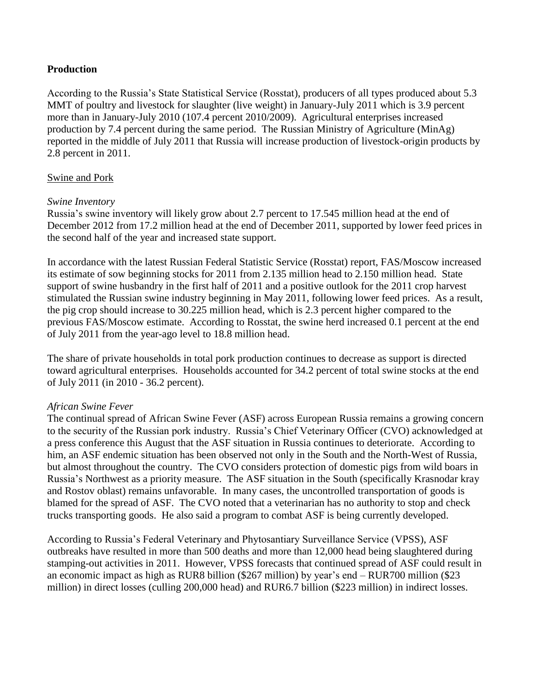#### **Production**

According to the Russia's State Statistical Service (Rosstat), producers of all types produced about 5.3 MMT of poultry and livestock for slaughter (live weight) in January-July 2011 which is 3.9 percent more than in January-July 2010 (107.4 percent 2010/2009). Agricultural enterprises increased production by 7.4 percent during the same period. The Russian Ministry of Agriculture (MinAg) reported in the middle of July 2011 that Russia will increase production of livestock-origin products by 2.8 percent in 2011.

#### Swine and Pork

#### *Swine Inventory*

Russia's swine inventory will likely grow about 2.7 percent to 17.545 million head at the end of December 2012 from 17.2 million head at the end of December 2011, supported by lower feed prices in the second half of the year and increased state support.

In accordance with the latest Russian Federal Statistic Service (Rosstat) report, FAS/Moscow increased its estimate of sow beginning stocks for 2011 from 2.135 million head to 2.150 million head. State support of swine husbandry in the first half of 2011 and a positive outlook for the 2011 crop harvest stimulated the Russian swine industry beginning in May 2011, following lower feed prices. As a result, the pig crop should increase to 30.225 million head, which is 2.3 percent higher compared to the previous FAS/Moscow estimate. According to Rosstat, the swine herd increased 0.1 percent at the end of July 2011 from the year-ago level to 18.8 million head.

The share of private households in total pork production continues to decrease as support is directed toward agricultural enterprises. Households accounted for 34.2 percent of total swine stocks at the end of July 2011 (in 2010 - 36.2 percent).

#### *African Swine Fever*

The continual spread of African Swine Fever (ASF) across European Russia remains a growing concern to the security of the Russian pork industry. Russia's Chief Veterinary Officer (CVO) acknowledged at a press conference this August that the ASF situation in Russia continues to deteriorate. According to him, an ASF endemic situation has been observed not only in the South and the North-West of Russia, but almost throughout the country. The CVO considers protection of domestic pigs from wild boars in Russia's Northwest as a priority measure. The ASF situation in the South (specifically Krasnodar kray and Rostov oblast) remains unfavorable. In many cases, the uncontrolled transportation of goods is blamed for the spread of ASF. The CVO noted that a veterinarian has no authority to stop and check trucks transporting goods. He also said a program to combat ASF is being currently developed.

According to Russia's Federal Veterinary and Phytosantiary Surveillance Service (VPSS), ASF outbreaks have resulted in more than 500 deaths and more than 12,000 head being slaughtered during stamping-out activities in 2011. However, VPSS forecasts that continued spread of ASF could result in an economic impact as high as RUR8 billion (\$267 million) by year's end – RUR700 million (\$23 million) in direct losses (culling 200,000 head) and RUR6.7 billion (\$223 million) in indirect losses.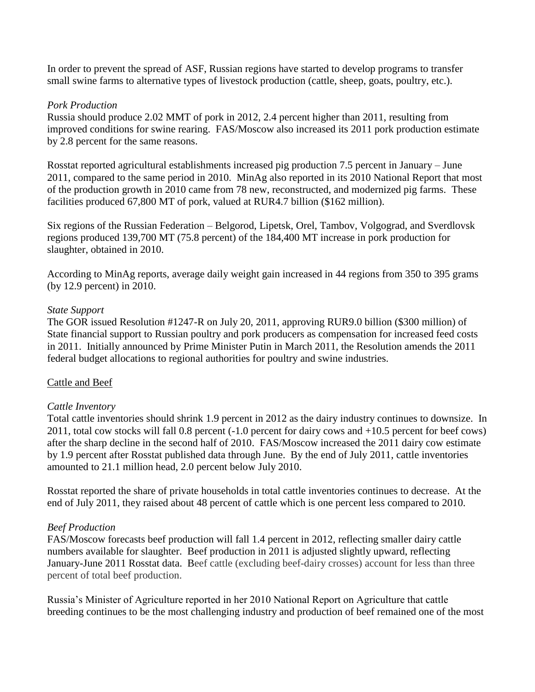In order to prevent the spread of ASF, Russian regions have started to develop programs to transfer small swine farms to alternative types of livestock production (cattle, sheep, goats, poultry, etc.).

#### *Pork Production*

Russia should produce 2.02 MMT of pork in 2012, 2.4 percent higher than 2011, resulting from improved conditions for swine rearing. FAS/Moscow also increased its 2011 pork production estimate by 2.8 percent for the same reasons.

Rosstat reported agricultural establishments increased pig production 7.5 percent in January – June 2011, compared to the same period in 2010. MinAg also reported in its 2010 National Report that most of the production growth in 2010 came from 78 new, reconstructed, and modernized pig farms. These facilities produced 67,800 MT of pork, valued at RUR4.7 billion (\$162 million).

Six regions of the Russian Federation – Belgorod, Lipetsk, Orel, Tambov, Volgograd, and Sverdlovsk regions produced 139,700 MT (75.8 percent) of the 184,400 MT increase in pork production for slaughter, obtained in 2010.

According to MinAg reports, average daily weight gain increased in 44 regions from 350 to 395 grams (by 12.9 percent) in 2010.

#### *State Support*

The GOR issued Resolution #1247-R on July 20, 2011, approving RUR9.0 billion (\$300 million) of State financial support to Russian poultry and pork producers as compensation for increased feed costs in 2011. Initially announced by Prime Minister Putin in March 2011, the Resolution amends the 2011 federal budget allocations to regional authorities for poultry and swine industries.

#### Cattle and Beef

#### *Cattle Inventory*

Total cattle inventories should shrink 1.9 percent in 2012 as the dairy industry continues to downsize. In 2011, total cow stocks will fall 0.8 percent (-1.0 percent for dairy cows and +10.5 percent for beef cows) after the sharp decline in the second half of 2010. FAS/Moscow increased the 2011 dairy cow estimate by 1.9 percent after Rosstat published data through June. By the end of July 2011, cattle inventories amounted to 21.1 million head, 2.0 percent below July 2010.

Rosstat reported the share of private households in total cattle inventories continues to decrease. At the end of July 2011, they raised about 48 percent of cattle which is one percent less compared to 2010.

#### *Beef Production*

FAS/Moscow forecasts beef production will fall 1.4 percent in 2012, reflecting smaller dairy cattle numbers available for slaughter. Beef production in 2011 is adjusted slightly upward, reflecting January-June 2011 Rosstat data. Beef cattle (excluding beef-dairy crosses) account for less than three percent of total beef production.

Russia's Minister of Agriculture reported in her 2010 National Report on Agriculture that cattle breeding continues to be the most challenging industry and production of beef remained one of the most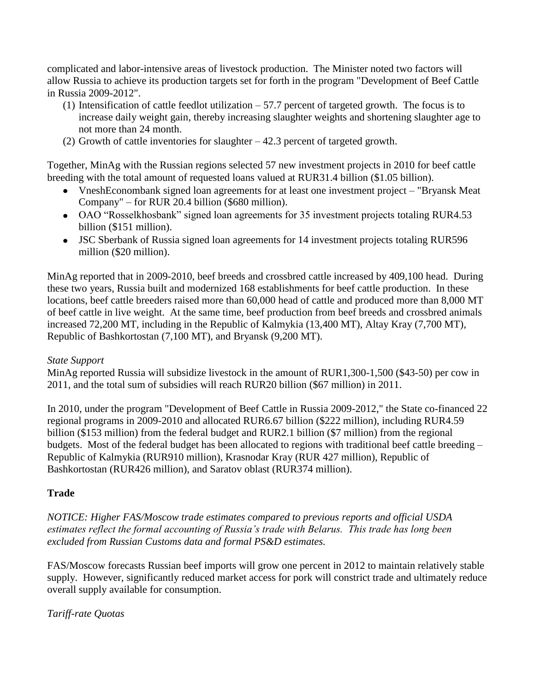complicated and labor-intensive areas of livestock production. The Minister noted two factors will allow Russia to achieve its production targets set for forth in the program "Development of Beef Cattle in Russia 2009-2012".

- (1) Intensification of cattle feedlot utilization 57.7 percent of targeted growth. The focus is to increase daily weight gain, thereby increasing slaughter weights and shortening slaughter age to not more than 24 month.
- (2) Growth of cattle inventories for slaughter 42.3 percent of targeted growth.

Together, MinAg with the Russian regions selected 57 new investment projects in 2010 for beef cattle breeding with the total amount of requested loans valued at RUR31.4 billion (\$1.05 billion).

- VneshEconombank signed loan agreements for at least one investment project "Bryansk Meat Company" – for RUR 20.4 billion (\$680 million).
- OAO "Rosselkhosbank" signed loan agreements for 35 investment projects totaling RUR4.53 billion (\$151 million).
- JSC Sberbank of Russia signed loan agreements for 14 investment projects totaling RUR596 million (\$20 million).

MinAg reported that in 2009-2010, beef breeds and crossbred cattle increased by 409,100 head. During these two years, Russia built and modernized 168 establishments for beef cattle production. In these locations, beef cattle breeders raised more than 60,000 head of cattle and produced more than 8,000 MT of beef cattle in live weight. At the same time, beef production from beef breeds and crossbred animals increased 72,200 MT, including in the Republic of Kalmykia (13,400 MT), Altay Kray (7,700 MT), Republic of Bashkortostan (7,100 MT), and Bryansk (9,200 MT).

#### *State Support*

MinAg reported Russia will subsidize livestock in the amount of RUR1,300-1,500 (\$43-50) per cow in 2011, and the total sum of subsidies will reach RUR20 billion (\$67 million) in 2011.

In 2010, under the program "Development of Beef Cattle in Russia 2009-2012," the State co-financed 22 regional programs in 2009-2010 and allocated RUR6.67 billion (\$222 million), including RUR4.59 billion (\$153 million) from the federal budget and RUR2.1 billion (\$7 million) from the regional budgets. Most of the federal budget has been allocated to regions with traditional beef cattle breeding – Republic of Kalmykia (RUR910 million), Krasnodar Kray (RUR 427 million), Republic of Bashkortostan (RUR426 million), and Saratov oblast (RUR374 million).

#### **Trade**

*NOTICE: Higher FAS/Moscow trade estimates compared to previous reports and official USDA estimates reflect the formal accounting of Russia's trade with Belarus. This trade has long been excluded from Russian Customs data and formal PS&D estimates.*

FAS/Moscow forecasts Russian beef imports will grow one percent in 2012 to maintain relatively stable supply. However, significantly reduced market access for pork will constrict trade and ultimately reduce overall supply available for consumption.

#### *Tariff-rate Quotas*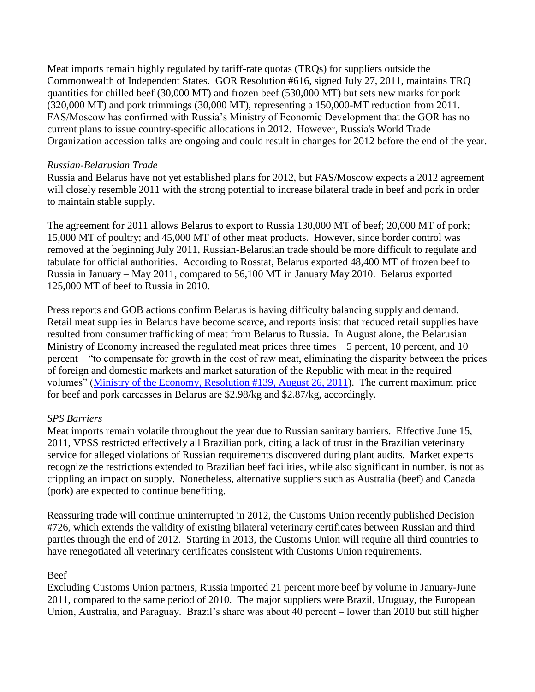Meat imports remain highly regulated by tariff-rate quotas (TRQs) for suppliers outside the Commonwealth of Independent States. GOR Resolution #616, signed July 27, 2011, maintains TRQ quantities for chilled beef (30,000 MT) and frozen beef (530,000 MT) but sets new marks for pork (320,000 MT) and pork trimmings (30,000 MT), representing a 150,000-MT reduction from 2011. FAS/Moscow has confirmed with Russia's Ministry of Economic Development that the GOR has no current plans to issue country-specific allocations in 2012. However, Russia's World Trade Organization accession talks are ongoing and could result in changes for 2012 before the end of the year.

#### *Russian-Belarusian Trade*

Russia and Belarus have not yet established plans for 2012, but FAS/Moscow expects a 2012 agreement will closely resemble 2011 with the strong potential to increase bilateral trade in beef and pork in order to maintain stable supply.

The agreement for 2011 allows Belarus to export to Russia 130,000 MT of beef; 20,000 MT of pork; 15,000 MT of poultry; and 45,000 MT of other meat products. However, since border control was removed at the beginning July 2011, Russian-Belarusian trade should be more difficult to regulate and tabulate for official authorities. According to Rosstat, Belarus exported 48,400 MT of frozen beef to Russia in January – May 2011, compared to 56,100 MT in January May 2010. Belarus exported 125,000 MT of beef to Russia in 2010.

Press reports and GOB actions confirm Belarus is having difficulty balancing supply and demand. Retail meat supplies in Belarus have become scarce, and reports insist that reduced retail supplies have resulted from consumer trafficking of meat from Belarus to Russia. In August alone, the Belarusian Ministry of Economy increased the regulated meat prices three times – 5 percent, 10 percent, and 10 percent – "to compensate for growth in the cost of raw meat, eliminating the disparity between the prices of foreign and domestic markets and market saturation of the Republic with meat in the required volumes" [\(Ministry of the Economy, Resolution #139, August 26, 2011\)](http://www.economy.gov.by/nfiles/001146_892256_pse139.pdf). The current maximum price for beef and pork carcasses in Belarus are \$2.98/kg and \$2.87/kg, accordingly.

#### *SPS Barriers*

Meat imports remain volatile throughout the year due to Russian sanitary barriers. Effective June 15, 2011, VPSS restricted effectively all Brazilian pork, citing a lack of trust in the Brazilian veterinary service for alleged violations of Russian requirements discovered during plant audits. Market experts recognize the restrictions extended to Brazilian beef facilities, while also significant in number, is not as crippling an impact on supply. Nonetheless, alternative suppliers such as Australia (beef) and Canada (pork) are expected to continue benefiting.

Reassuring trade will continue uninterrupted in 2012, the Customs Union recently published Decision #726, which extends the validity of existing bilateral veterinary certificates between Russian and third parties through the end of 2012. Starting in 2013, the Customs Union will require all third countries to have renegotiated all veterinary certificates consistent with Customs Union requirements.

#### Beef

Excluding Customs Union partners, Russia imported 21 percent more beef by volume in January-June 2011, compared to the same period of 2010. The major suppliers were Brazil, Uruguay, the European Union, Australia, and Paraguay. Brazil's share was about 40 percent – lower than 2010 but still higher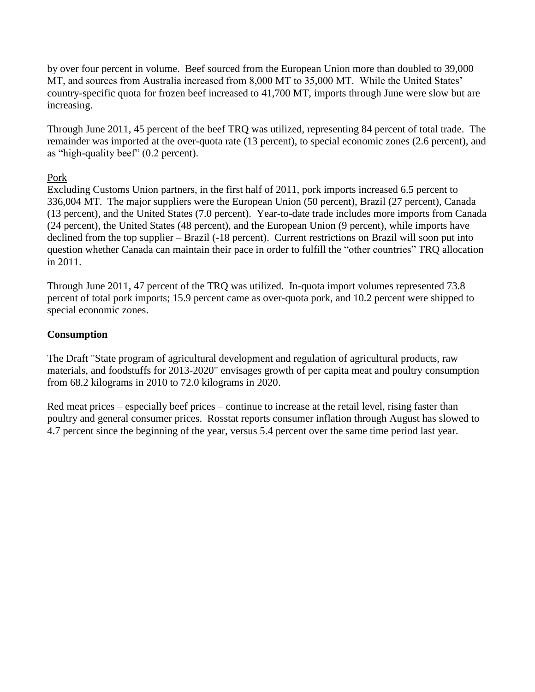by over four percent in volume. Beef sourced from the European Union more than doubled to 39,000 MT, and sources from Australia increased from 8,000 MT to 35,000 MT. While the United States' country-specific quota for frozen beef increased to 41,700 MT, imports through June were slow but are increasing.

Through June 2011, 45 percent of the beef TRQ was utilized, representing 84 percent of total trade. The remainder was imported at the over-quota rate (13 percent), to special economic zones (2.6 percent), and as "high-quality beef" (0.2 percent).

#### Pork

Excluding Customs Union partners, in the first half of 2011, pork imports increased 6.5 percent to 336,004 MT. The major suppliers were the European Union (50 percent), Brazil (27 percent), Canada (13 percent), and the United States (7.0 percent). Year-to-date trade includes more imports from Canada (24 percent), the United States (48 percent), and the European Union (9 percent), while imports have declined from the top supplier – Brazil (-18 percent). Current restrictions on Brazil will soon put into question whether Canada can maintain their pace in order to fulfill the "other countries" TRQ allocation in 2011.

Through June 2011, 47 percent of the TRQ was utilized. In-quota import volumes represented 73.8 percent of total pork imports; 15.9 percent came as over-quota pork, and 10.2 percent were shipped to special economic zones.

#### **Consumption**

The Draft "State program of agricultural development and regulation of agricultural products, raw materials, and foodstuffs for 2013-2020" envisages growth of per capita meat and poultry consumption from 68.2 kilograms in 2010 to 72.0 kilograms in 2020.

Red meat prices – especially beef prices – continue to increase at the retail level, rising faster than poultry and general consumer prices. Rosstat reports consumer inflation through August has slowed to 4.7 percent since the beginning of the year, versus 5.4 percent over the same time period last year.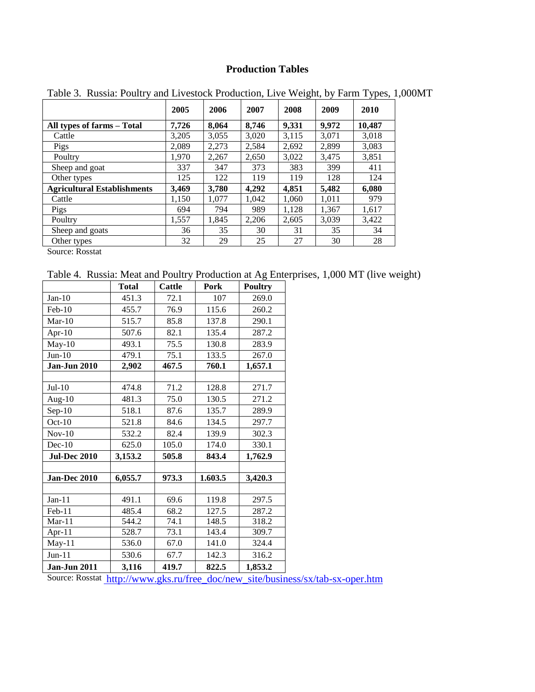### **Production Tables**

|                                    | 2005  | 2006  | 2007  | 2008  | 2009  | 2010   |
|------------------------------------|-------|-------|-------|-------|-------|--------|
| All types of farms - Total         | 7,726 | 8,064 | 8.746 | 9,331 | 9.972 | 10,487 |
| Cattle                             | 3,205 | 3,055 | 3,020 | 3,115 | 3,071 | 3,018  |
| Pigs                               | 2.089 | 2,273 | 2,584 | 2,692 | 2,899 | 3,083  |
| Poultry                            | 1.970 | 2,267 | 2,650 | 3,022 | 3,475 | 3,851  |
| Sheep and goat                     | 337   | 347   | 373   | 383   | 399   | 411    |
| Other types                        | 125   | 122   | 119   | 119   | 128   | 124    |
| <b>Agricultural Establishments</b> | 3,469 | 3,780 | 4,292 | 4.851 | 5,482 | 6,080  |
| Cattle                             | 1,150 | 1,077 | 1.042 | 1,060 | 1,011 | 979    |
| Pigs                               | 694   | 794   | 989   | 1,128 | 1,367 | 1,617  |
| Poultry                            | 1,557 | 1,845 | 2,206 | 2,605 | 3,039 | 3,422  |
| Sheep and goats                    | 36    | 35    | 30    | 31    | 35    | 34     |
| Other types                        | 32    | 29    | 25    | 27    | 30    | 28     |

Table 3. Russia: Poultry and Livestock Production, Live Weight, by Farm Types, 1,000MT

Source: Rosstat

Table 4. Russia: Meat and Poultry Production at Ag Enterprises, 1,000 MT (live weight)

|                     | <b>Total</b> | Cattle | Pork    | <b>Poultry</b> |
|---------------------|--------------|--------|---------|----------------|
| $Jan-10$            | 451.3        | 72.1   | 107     | 269.0          |
| Feb-10              | 455.7        | 76.9   | 115.6   | 260.2          |
| $Mar-10$            | 515.7        | 85.8   | 137.8   | 290.1          |
| Apr-10              | 507.6        | 82.1   | 135.4   | 287.2          |
| $May-10$            | 493.1        | 75.5   | 130.8   | 283.9          |
| $Jun-10$            | 479.1        | 75.1   | 133.5   | 267.0          |
| Jan-Jun $2010$      | 2,902        | 467.5  | 760.1   | 1,657.1        |
|                     |              |        |         |                |
| $Jul-10$            | 474.8        | 71.2   | 128.8   | 271.7          |
| Aug- $10$           | 481.3        | 75.0   | 130.5   | 271.2          |
| $Sep-10$            | 518.1        | 87.6   | 135.7   | 289.9          |
| $Oct-10$            | 521.8        | 84.6   | 134.5   | 297.7          |
| $Nov-10$            | 532.2        | 82.4   | 139.9   | 302.3          |
| $Dec-10$            | 625.0        | 105.0  | 174.0   | 330.1          |
| <b>Jul-Dec 2010</b> | 3,153.2      | 505.8  | 843.4   | 1,762.9        |
|                     |              |        |         |                |
| Jan-Dec 2010        | 6,055.7      | 973.3  | 1.603.5 | 3,420.3        |
|                     |              |        |         |                |
| $Jan-11$            | 491.1        | 69.6   | 119.8   | 297.5          |
| Feb-11              | 485.4        | 68.2   | 127.5   | 287.2          |
| $Mar-11$            | 544.2        | 74.1   | 148.5   | 318.2          |
| Apr-11              | 528.7        | 73.1   | 143.4   | 309.7          |
| May-11              | 536.0        | 67.0   | 141.0   | 324.4          |
| $Jun-11$            | 530.6        | 67.7   | 142.3   | 316.2          |
| <b>Jan-Jun 2011</b> | 3,116        | 419.7  | 822.5   | 1,853.2        |

Source: Rosstat [http://www.gks.ru/free\\_doc/new\\_site/business/sx/tab-sx-oper.htm](http://www.gks.ru/free_doc/new_site/business/sx/tab-sx-oper.htm)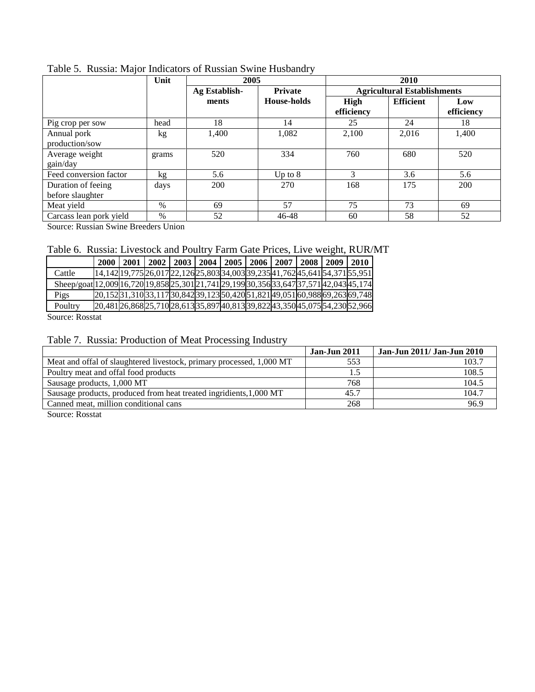|                                        | Unit  | 2005                            |                    | 2010                               |                  |                   |  |  |
|----------------------------------------|-------|---------------------------------|--------------------|------------------------------------|------------------|-------------------|--|--|
|                                        |       | Ag Establish-<br><b>Private</b> |                    | <b>Agricultural Establishments</b> |                  |                   |  |  |
|                                        |       | ments                           | <b>House-holds</b> | High<br>efficiency                 | <b>Efficient</b> | Low<br>efficiency |  |  |
| Pig crop per sow                       | head  | 18                              | 14                 | 25                                 | 24               | 18                |  |  |
| Annual pork<br>production/sow          | kg    | 1,400                           | 1,082              | 2.100                              | 2,016            | 1,400             |  |  |
| Average weight<br>gain/day             | grams | 520                             | 334                | 760                                | 680              | 520               |  |  |
| Feed conversion factor                 | kg    | 5.6                             | Up to $8$          | 3                                  | 3.6              | 5.6               |  |  |
| Duration of feeing<br>before slaughter | days  | 200                             | 270                | 168                                | 175              | 200               |  |  |
| Meat yield                             | $\%$  | 69                              | 57                 | 75                                 | 73               | 69                |  |  |
| Carcass lean pork yield                | $\%$  | 52                              | 46-48              | 60                                 | 58               | 52                |  |  |

Table 5. Russia: Major Indicators of Russian Swine Husbandry

Source: Russian Swine Breeders Union

### Table 6. Russia: Livestock and Poultry Farm Gate Prices, Live weight, RUR/MT

|                                                                                         | 2000                                                                         | 2001 |  | 2002   2003   2004   2005   2006   2007   2008   2009   2010 |  |  |  |
|-----------------------------------------------------------------------------------------|------------------------------------------------------------------------------|------|--|--------------------------------------------------------------|--|--|--|
| Cattle                                                                                  | 14,142 19,775 26,017 22,126 25,803 34,003 39,235 41,762 45,641 54,371 55,951 |      |  |                                                              |  |  |  |
| Sheep/goat[12,009]16,720[19,858]25,301[21,741]29,199[30,356]33,647]37,571[42,043]45,174 |                                                                              |      |  |                                                              |  |  |  |
| Pigs                                                                                    | 20,15231,31033,11730,84239,12350,42051,82149,05160,98869,26369,748           |      |  |                                                              |  |  |  |
| Poultry                                                                                 | 20,48126,86825,71028,61335,89740,81339,82243,35045,07554,23052,966           |      |  |                                                              |  |  |  |
| $\sim$<br>$\sqrt{ }$                                                                    |                                                                              |      |  |                                                              |  |  |  |

Source: Rosstat

#### Table 7. Russia: Production of Meat Processing Industry

|                                                                      | <b>Jan-Jun 2011</b> | Jan-Jun 2011/ Jan-Jun 2010 |
|----------------------------------------------------------------------|---------------------|----------------------------|
| Meat and offal of slaughtered livestock, primary processed, 1,000 MT | 553                 | 103.7                      |
| Poultry meat and offal food products                                 |                     | 108.5                      |
| Sausage products, 1,000 MT                                           | 768                 | 104.5                      |
| Sausage products, produced from heat treated ingridients, 1,000 MT   | 45.7                | 104.7                      |
| Canned meat, million conditional cans                                | 268                 | 96.9                       |
|                                                                      |                     |                            |

Source: Rosstat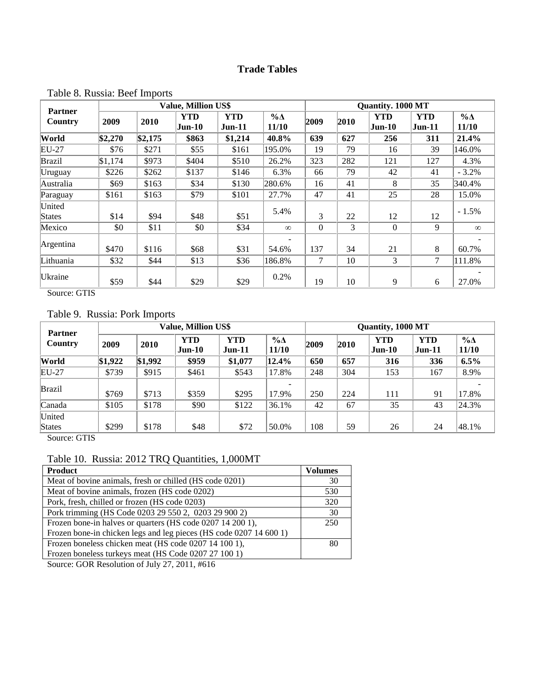## **Trade Tables**

|                           |         |         | <b>Value, Million US\$</b> |                        |                        |                | <b>Quantity. 1000 MT</b> |                             |                             |                      |  |
|---------------------------|---------|---------|----------------------------|------------------------|------------------------|----------------|--------------------------|-----------------------------|-----------------------------|----------------------|--|
| <b>Partner</b><br>Country | 2009    | 2010    | <b>YTD</b><br>$Jun-10$     | <b>YTD</b><br>$Jun-11$ | $\%$ $\Delta$<br>11/10 | 2009           | 2010                     | <b>YTD</b><br><b>Jun-10</b> | <b>YTD</b><br><b>Jun-11</b> | $\% \Delta$<br>11/10 |  |
| World                     | \$2,270 | \$2,175 | \$863                      | \$1,214                | 40.8%                  | 639            | 627                      | 256                         | 311                         | 21.4%                |  |
| EU-27                     | \$76    | \$271   | \$55                       | \$161                  | 195.0%                 | 19             | 79                       | 16                          | 39                          | 146.0%               |  |
| <b>Brazil</b>             | \$1,174 | \$973   | \$404                      | \$510                  | 26.2%                  | 323            | 282                      | 121                         | 127                         | 4.3%                 |  |
| Uruguay                   | \$226   | \$262   | \$137                      | \$146                  | 6.3%                   | 66             | 79                       | 42                          | 41                          | $-3.2%$              |  |
| Australia                 | \$69    | \$163   | \$34                       | \$130                  | 280.6%                 | 16             | 41                       | 8                           | 35                          | 340.4%               |  |
| Paraguay                  | \$161   | \$163   | \$79                       | \$101                  | 27.7%                  | 47             | 41                       | 25                          | 28                          | 15.0%                |  |
| United<br><b>States</b>   | \$14    | \$94    | \$48                       | \$51                   | 5.4%                   | 3              | 22                       | 12                          | 12                          | $-1.5\%$             |  |
| Mexico                    | \$0     | \$11    | \$0                        | \$34                   | $\infty$               | $\overline{0}$ | 3                        | $\mathbf{0}$                | 9                           | $\infty$             |  |
| Argentina                 | \$470   | \$116   | \$68                       | \$31                   | 54.6%                  | 137            | 34                       | 21                          | 8                           | 60.7%                |  |
| Lithuania                 | \$32    | \$44    | \$13                       | \$36                   | 186.8%                 | 7              | 10                       | 3                           | 7                           | 111.8%               |  |
| Ukraine                   | \$59    | \$44    | \$29                       | \$29                   | 0.2%                   | 19             | 10                       | 9                           | 6                           | 27.0%                |  |

### Table 8. Russia: Beef Imports

Source: GTIS

#### Table 9. Russia: Pork Imports

| <b>Partner</b>          |         | <b>Value, Million US\$</b> |                        |                        |                        |      |      | Quantity, 1000 MT      |                        |                             |  |  |
|-------------------------|---------|----------------------------|------------------------|------------------------|------------------------|------|------|------------------------|------------------------|-----------------------------|--|--|
| Country                 | 2009    | 2010                       | <b>YTD</b><br>$Jun-10$ | <b>YTD</b><br>$Jun-11$ | $\%$ $\Delta$<br>11/10 | 2009 | 2010 | <b>YTD</b><br>$Jun-10$ | <b>YTD</b><br>$Jun-11$ | $\% \Delta$<br><b>11/10</b> |  |  |
| World                   | \$1,922 | \$1,992                    | \$959                  | \$1,077                | 12.4%                  | 650  | 657  | 316                    | 336                    | 6.5%                        |  |  |
| EU-27                   | \$739   | \$915                      | \$461                  | \$543                  | 17.8%                  | 248  | 304  | 153                    | 167                    | 8.9%                        |  |  |
| <b>Brazil</b>           | \$769   | \$713                      | \$359                  | \$295                  | 17.9%                  | 250  | 224  | 111                    | 91                     | 17.8%                       |  |  |
| Canada                  | \$105   | \$178                      | \$90                   | \$122                  | 36.1%                  | 42   | 67   | 35                     | 43                     | 24.3%                       |  |  |
| United<br><b>States</b> | \$299   | \$178                      | \$48                   | \$72                   | 50.0%                  | 108  | 59   | 26                     | 24                     | 48.1%                       |  |  |

Source: GTIS

### Table 10. Russia: 2012 TRQ Quantities, 1,000MT

| <b>Product</b>                                                     | <b>Volumes</b> |
|--------------------------------------------------------------------|----------------|
| Meat of bovine animals, fresh or chilled (HS code 0201)            | 30             |
| Meat of bovine animals, frozen (HS code 0202)                      | 530            |
| Pork, fresh, chilled or frozen (HS code 0203)                      | 320            |
| Pork trimming (HS Code 0203 29 550 2, 0203 29 900 2)               | 30             |
| Frozen bone-in halves or quarters (HS code 0207 14 200 1),         | 250            |
| Frozen bone-in chicken legs and leg pieces (HS code 0207 14 600 1) |                |
| Frozen boneless chicken meat (HS code 0207 14 100 1),              | 80             |
| Frozen boneless turkeys meat (HS Code 0207 27 100 1)               |                |
| $\alpha$                                                           |                |

Source: GOR Resolution of July 27, 2011, #616